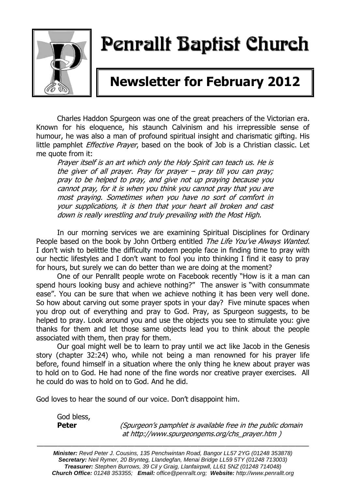

# Penrallt Baptist Church

## **Newsletter for February 2012**

Charles Haddon Spurgeon was one of the great preachers of the Victorian era. Known for his eloquence, his staunch Calvinism and his irrepressible sense of humour, he was also a man of profound spiritual insight and charismatic gifting. His little pamphlet *Effective Prayer*, based on the book of Job is a Christian classic. Let me quote from it:

Prayer itself is an art which only the Holy Spirit can teach us. He is the giver of all prayer. Pray for prayer – pray till you can pray; pray to be helped to pray, and give not up praying because you cannot pray, for it is when you think you cannot pray that you are most praying. Sometimes when you have no sort of comfort in your supplications, it is then that your heart all broken and cast down is really wrestling and truly prevailing with the Most High.

In our morning services we are examining Spiritual Disciplines for Ordinary People based on the book by John Ortberg entitled The Life You've Always Wanted. I don't wish to belittle the difficulty modern people face in finding time to pray with our hectic lifestyles and I don't want to fool you into thinking I find it easy to pray for hours, but surely we can do better than we are doing at the moment?

One of our Penrallt people wrote on Facebook recently "How is it a man can spend hours looking busy and achieve nothing?" The answer is "with consummate ease". You can be sure that when we achieve nothing it has been very well done. So how about carving out some prayer spots in your day? Five minute spaces when you drop out of everything and pray to God. Pray, as Spurgeon suggests, to be helped to pray. Look around you and use the objects you see to stimulate you: give thanks for them and let those same objects lead you to think about the people associated with them, then pray for them.

Our goal might well be to learn to pray until we act like Jacob in the Genesis story (chapter 32:24) who, while not being a man renowned for his prayer life before, found himself in a situation where the only thing he knew about prayer was to hold on to God. He had none of the fine words nor creative prayer exercises. All he could do was to hold on to God. And he did.

God loves to hear the sound of our voice. Don't disappoint him.

God bless,

**Peter** (*Spurgeon's pamphlet is available free in the public domain* at [http://www.spurgeongems.org/chs\\_prayer.htm](http://www.spurgeongems.org/chs_prayer.htm) )

———————————————————————————————————————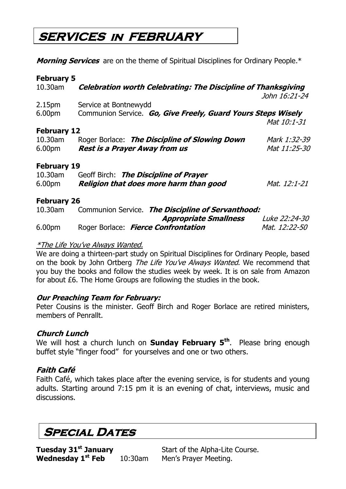### **SERVICES in FEBRUARY**

**Morning Services** are on the theme of Spiritual Disciplines for Ordinary People.\*

| <b>February 5</b>  |                                                                      |               |  |  |
|--------------------|----------------------------------------------------------------------|---------------|--|--|
| 10.30am            | <b>Celebration worth Celebrating: The Discipline of Thanksgiving</b> |               |  |  |
|                    |                                                                      | John 16:21-24 |  |  |
| 2.15pm             | Service at Bontnewydd                                                |               |  |  |
| 6.00pm             | Communion Service. Go, Give Freely, Guard Yours Steps Wisely         |               |  |  |
|                    |                                                                      | Mat 10:1-31   |  |  |
| <b>February 12</b> |                                                                      |               |  |  |
| 10.30am            | Roger Borlace: The Discipline of Slowing Down                        | Mark 1:32-39  |  |  |
| 6.00pm             | <b>Rest is a Prayer Away from us</b>                                 | Mat 11:25-30  |  |  |
| <b>February 19</b> |                                                                      |               |  |  |
| 10.30am            | Geoff Birch: The Discipline of Prayer                                |               |  |  |
| 6.00 <sub>pm</sub> | Religion that does more harm than good                               | Mat. 12:1-21  |  |  |
| <b>February 26</b> |                                                                      |               |  |  |
| 10.30am            | Communion Service. The Discipline of Servanthood:                    |               |  |  |
|                    | <b>Appropriate Smallness</b>                                         | Luke 22:24-30 |  |  |
| 6.00pm             | Roger Borlace: Fierce Confrontation                                  | Mat. 12:22-50 |  |  |
|                    |                                                                      |               |  |  |
|                    | <i>*The Life You've Always Wanted.</i>                               |               |  |  |

We are doing a thirteen-part study on Spiritual Disciplines for Ordinary People, based on the book by John Ortberg The Life You've Always Wanted. We recommend that you buy the books and follow the studies week by week. It is on sale from Amazon for about £6. The Home Groups are following the studies in the book.

#### **Our Preaching Team for February:**

Peter Cousins is the minister. Geoff Birch and Roger Borlace are retired ministers, members of Penrallt.

#### **Church Lunch**

We will host a church lunch on **Sunday February 5th**. Please bring enough buffet style "finger food" for yourselves and one or two others.

#### **Faith Café**

Faith Café, which takes place after the evening service, is for students and young adults. Starting around 7:15 pm it is an evening of chat, interviews, music and discussions.

### **Special Dates**

**Tuesday 31st January** Start of the Alpha-Lite Course. **Wednesday 1st Feb** 10:30am Men's Prayer Meeting.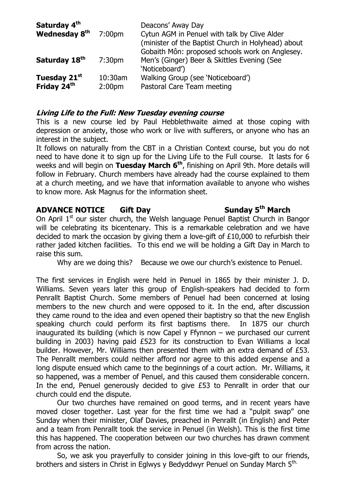| Saturday 4 <sup>th</sup><br>Wednesday 8 <sup>th</sup> | 7:00 <sub>pm</sub>            | Deacons' Away Day<br>Cytun AGM in Penuel with talk by Clive Alder<br>(minister of the Baptist Church in Holyhead) about<br>Gobaith Môn: proposed schools work on Anglesey. |
|-------------------------------------------------------|-------------------------------|----------------------------------------------------------------------------------------------------------------------------------------------------------------------------|
| Saturday 18th                                         | 7:30 <sub>pm</sub>            | Men's (Ginger) Beer & Skittles Evening (See<br>'Noticeboard')                                                                                                              |
| Tuesday 21st<br>Friday 24 <sup>th</sup>               | 10:30am<br>2:00 <sub>pm</sub> | Walking Group (see 'Noticeboard')<br>Pastoral Care Team meeting                                                                                                            |

#### **Living Life to the Full: New Tuesday evening course**

This is a new course led by Paul Hebblethwaite aimed at those coping with depression or anxiety, those who work or live with sufferers, or anyone who has an interest in the subject.

It follows on naturally from the CBT in a Christian Context course, but you do not need to have done it to sign up for the Living Life to the Full course. It lasts for 6 weeks and will begin on **Tuesday March 6th**, finishing on April 9th. More details will follow in February. Church members have already had the course explained to them at a church meeting, and we have that information available to anyone who wishes to know more. Ask Magnus for the information sheet.

#### **ADVANCE NOTICE Gift Day Sunday 5th March**

On April  $1<sup>st</sup>$  our sister church, the Welsh language Penuel Baptist Church in Bangor will be celebrating its bicentenary. This is a remarkable celebration and we have decided to mark the occasion by giving them a love-gift of £10,000 to refurbish their rather jaded kitchen facilities. To this end we will be holding a Gift Day in March to raise this sum.

Why are we doing this? Because we owe our church's existence to Penuel.

The first services in English were held in Penuel in 1865 by their minister J. D. Williams. Seven years later this group of English-speakers had decided to form Penrallt Baptist Church. Some members of Penuel had been concerned at losing members to the new church and were opposed to it. In the end, after discussion they came round to the idea and even opened their baptistry so that the new English speaking church could perform its first baptisms there. In 1875 our church inaugurated its building (which is now Capel y Ffynnon – we purchased our current building in 2003) having paid £523 for its construction to Evan Williams a local builder. However, Mr. Williams then presented them with an extra demand of £53. The Penrallt members could neither afford nor agree to this added expense and a long dispute ensued which came to the beginnings of a court action. Mr. Williams, it so happened, was a member of Penuel, and this caused them considerable concern. In the end, Penuel generously decided to give £53 to Penrallt in order that our church could end the dispute.

Our two churches have remained on good terms, and in recent years have moved closer together. Last year for the first time we had a "pulpit swap" one Sunday when their minister, Olaf Davies, preached in Penrallt (in English) and Peter and a team from Penrallt took the service in Penuel (in Welsh). This is the first time this has happened. The cooperation between our two churches has drawn comment from across the nation.

So, we ask you prayerfully to consider joining in this love-gift to our friends, brothers and sisters in Christ in Eglwys y Bedyddwyr Penuel on Sunday March 5<sup>th.</sup>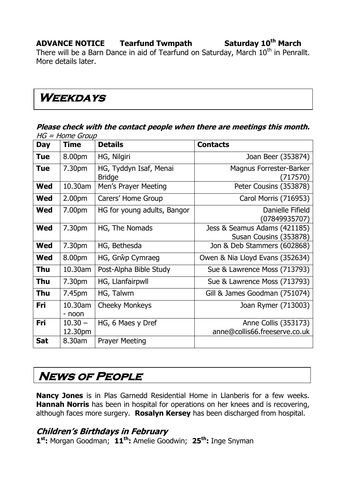### **ADVANCE NOTICE Tearfund Twmpath Saturday 10th March**

There will be a Barn Dance in aid of Tearfund on Saturday, March  $10<sup>th</sup>$  in Penrallt. More details later.

### **Weekdays**

#### **Please check with the contact people when there are meetings this month.**   $HG = Home$  Group

| <b>Day</b> | <i>HOME</i> OPPU<br><b>Time</b> | <b>Details</b>                          | <b>Contacts</b>                                        |
|------------|---------------------------------|-----------------------------------------|--------------------------------------------------------|
| <b>Tue</b> | 8.00pm                          | HG, Nilgiri                             | Joan Beer (353874)                                     |
| <b>Tue</b> | 7.30pm                          | HG, Tyddyn Isaf, Menai<br><b>Bridge</b> | <b>Magnus Forrester-Barker</b><br>(717570)             |
| <b>Wed</b> | 10.30am                         | Men's Prayer Meeting                    | Peter Cousins (353878)                                 |
| <b>Wed</b> | 2.00 <sub>pm</sub>              | Carers' Home Group                      | Carol Morris (716953)                                  |
| Wed        | 7.00pm                          | HG for young adults, Bangor             | Danielle Fifield<br>(07849935707)                      |
| <b>Wed</b> | 7.30pm                          | HG, The Nomads                          | Jess & Seamus Adams (421185)<br>Susan Cousins (353878) |
| <b>Wed</b> | 7.30pm                          | HG, Bethesda                            | Jon & Deb Stammers (602868)                            |
| <b>Wed</b> | 8.00pm                          | HG, Grŵp Cymraeg                        | Owen & Nia Lloyd Evans (352634)                        |
| Thu        | 10.30am                         | Post-Alpha Bible Study                  | Sue & Lawrence Moss (713793)                           |
| <b>Thu</b> | 7.30pm                          | HG, Llanfairpwll                        | Sue & Lawrence Moss (713793)                           |
| Thu        | 7.45pm                          | HG, Talwrn                              | Gill & James Goodman (751074)                          |
| Fri        | 10.30am<br>- noon               | <b>Cheeky Monkeys</b>                   | Joan Rymer (713003)                                    |
| Fri        | $10.30 -$<br>12.30pm            | HG, 6 Maes y Dref                       | Anne Collis (353173)<br>anne@collis66.freeserve.co.uk  |
| <b>Sat</b> | 8.30am                          | <b>Prayer Meeting</b>                   |                                                        |

### **News of People**

**Nancy Jones** is in Plas Garnedd Residential Home in Llanberis for a few weeks.  **Hannah Norris** has been in hospital for operations on her knees and is recovering, although faces more surgery. **Rosalyn Kersey** has been discharged from hospital.

#### **Children's Birthdays in February**

**1 st:** Morgan Goodman; **11th:** Amelie Goodwin; **25th:** Inge Snyman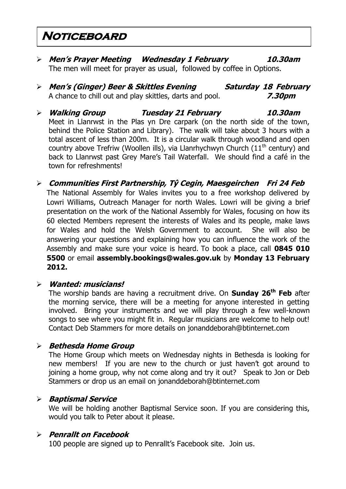### **Noticeboard**

- **Men's Prayer Meeting Wednesday 1 February 10.30am** The men will meet for prayer as usual, followed by coffee in Options.
- **Men's (Ginger) Beer & Skittles Evening Saturday 18 February** A chance to chill out and play skittles, darts and pool. **7.30pm**
- **Walking Group Tuesday 21 February 10.30am** Meet in Llanrwst in the Plas yn Dre carpark (on the north side of the town, behind the Police Station and Library). The walk will take about 3 hours with a total ascent of less than 200m. It is a circular walk through woodland and open country above Trefriw (Woollen ills), via Llanrhychwyn Church (11<sup>th</sup> century) and back to Llanrwst past Grey Mare's Tail Waterfall. We should find a café in the town for refreshments!
- **Communities First Partnership, Tŷ Cegin, Maesgeirchen Fri 24 Feb**  The National Assembly for Wales invites you to a free workshop delivered by Lowri Williams, Outreach Manager for north Wales. Lowri will be giving a brief presentation on the work of the National Assembly for Wales, focusing on how its 60 elected Members represent the interests of Wales and its people, make laws for Wales and hold the Welsh Government to account. She will also be answering your questions and explaining how you can influence the work of the Assembly and make sure your voice is heard. To book a place, call **0845 010 5500** or email **[assembly.bookings@wales.gov.uk](mailto:assembly.bookings@wales.gov.uk)** by **Monday 13 February 2012.**

#### **Wanted: musicians!**

The worship bands are having a recruitment drive. On **Sunday 26th Feb** after the morning service, there will be a meeting for anyone interested in getting involved. Bring your instruments and we will play through a few well-known songs to see where you might fit in. Regular musicians are welcome to help out! Contact Deb Stammers for more details on jonanddeborah@btinternet.com

#### **Bethesda Home Group**

The Home Group which meets on Wednesday nights in Bethesda is looking for new members! If you are new to the church or just haven't got around to joining a home group, why not come along and try it out? Speak to Jon or Deb Stammers or drop us an email on jonanddeborah@btinternet.com

#### **Baptismal Service**

We will be holding another Baptismal Service soon. If you are considering this, would you talk to Peter about it please.

#### **Penrallt on Facebook**

100 people are signed up to Penrallt's Facebook site. Join us.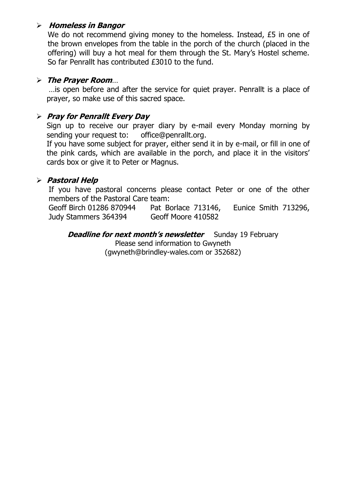#### **Homeless in Bangor**

We do not recommend giving money to the homeless. Instead, £5 in one of the brown envelopes from the table in the porch of the church (placed in the offering) will buy a hot meal for them through the St. Mary's Hostel scheme. So far Penrallt has contributed £3010 to the fund.

#### **The Prayer Room**…

…is open before and after the service for quiet prayer. Penrallt is a place of prayer, so make use of this sacred space.

#### **Pray for Penrallt Every Day**

Sign up to receive our prayer diary by e-mail every Monday morning by sending your request to: [office@penrallt.org.](mailto:office@penrallt.org)

If you have some subject for prayer, either send it in by e-mail, or fill in one of the pink cards, which are available in the porch, and place it in the visitors' cards box or give it to Peter or Magnus.

#### **Pastoral Help**

If you have pastoral concerns please contact Peter or one of the other members of the Pastoral Care team:

Geoff Birch 01286 870944 Pat Borlace 713146, Eunice Smith 713296, Judy Stammers 364394 Geoff Moore 410582

**Deadline for next month's newsletter** Sunday 19 February Please send information to Gwyneth [\(gwyneth@brindley-wales.com](mailto:gwyneth@brindley-wales.com) or 352682)